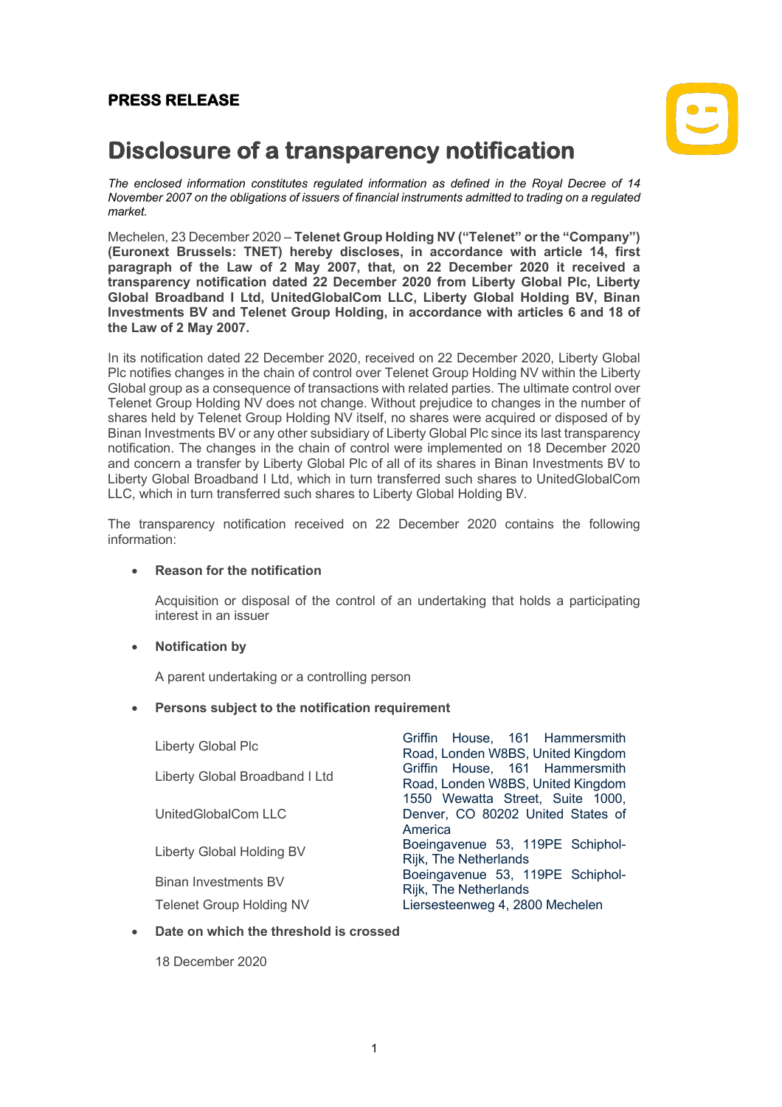## **PRESS RELEASE**



# **Disclosure of a transparency notification**

*The enclosed information constitutes regulated information as defined in the Royal Decree of 14 November 2007 on the obligations of issuers of financial instruments admitted to trading on a regulated market.*

Mechelen, 23 December 2020 – **Telenet Group Holding NV ("Telenet" or the "Company") (Euronext Brussels: TNET) hereby discloses, in accordance with article 14, first paragraph of the Law of 2 May 2007, that, on 22 December 2020 it received a transparency notification dated 22 December 2020 from Liberty Global Plc, Liberty Global Broadband I Ltd, UnitedGlobalCom LLC, Liberty Global Holding BV, Binan Investments BV and Telenet Group Holding, in accordance with articles 6 and 18 of the Law of 2 May 2007.**

In its notification dated 22 December 2020, received on 22 December 2020, Liberty Global Plc notifies changes in the chain of control over Telenet Group Holding NV within the Liberty Global group as a consequence of transactions with related parties. The ultimate control over Telenet Group Holding NV does not change. Without prejudice to changes in the number of shares held by Telenet Group Holding NV itself, no shares were acquired or disposed of by Binan Investments BV or any other subsidiary of Liberty Global Plc since its last transparency notification. The changes in the chain of control were implemented on 18 December 2020 and concern a transfer by Liberty Global Plc of all of its shares in Binan Investments BV to Liberty Global Broadband I Ltd, which in turn transferred such shares to UnitedGlobalCom LLC, which in turn transferred such shares to Liberty Global Holding BV.

The transparency notification received on 22 December 2020 contains the following information:

#### • **Reason for the notification**

Acquisition or disposal of the control of an undertaking that holds a participating interest in an issuer

#### • **Notification by**

A parent undertaking or a controlling person

#### • **Persons subject to the notification requirement**

| Liberty Global Plc              | Griffin House, 161 Hammersmith<br>Road, Londen W8BS, United Kingdom              |
|---------------------------------|----------------------------------------------------------------------------------|
| Liberty Global Broadband I Ltd  | Griffin House, 161 Hammersmith<br>Road, Londen W8BS, United Kingdom              |
| UnitedGlobalCom LLC             | 1550 Wewatta Street, Suite 1000,<br>Denver, CO 80202 United States of<br>America |
| Liberty Global Holding BV       | Boeingavenue 53, 119PE Schiphol-<br>Rijk, The Netherlands                        |
| Binan Investments BV            | Boeingavenue 53, 119PE Schiphol-<br>Rijk, The Netherlands                        |
| <b>Telenet Group Holding NV</b> | Liersesteenweg 4, 2800 Mechelen                                                  |

#### • **Date on which the threshold is crossed**

18 December 2020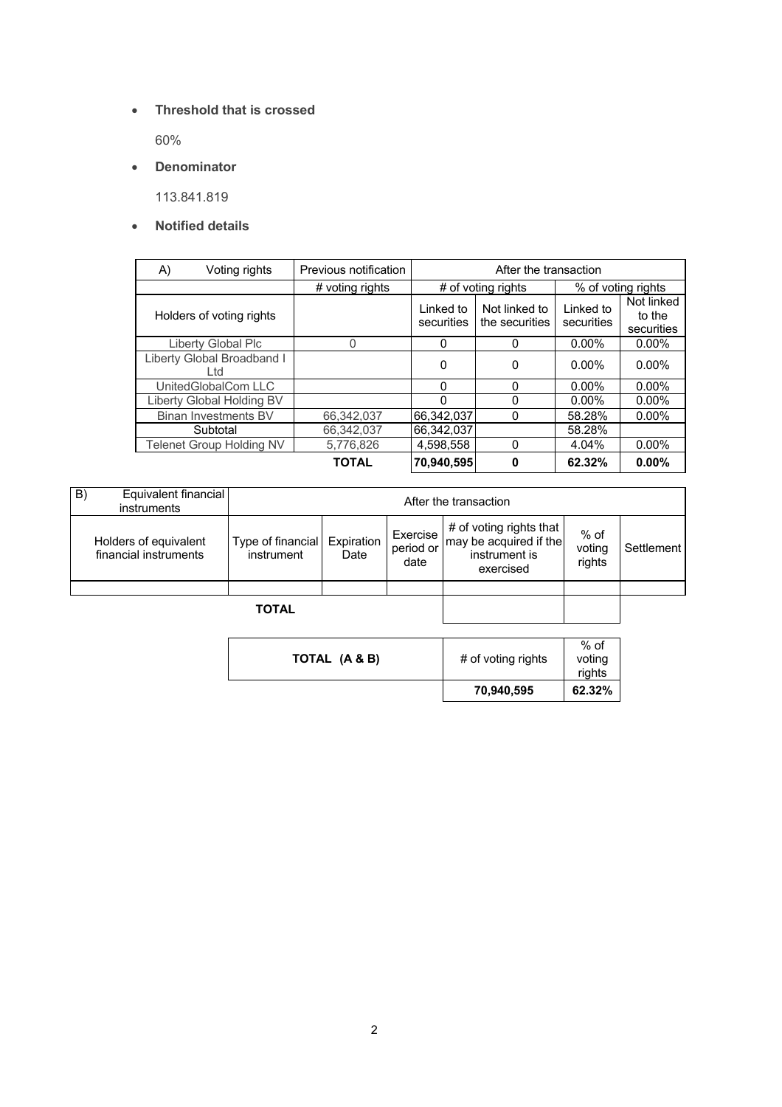• **Threshold that is crossed**

60%

• **Denominator**

113.841.819

### • **Notified details**

| A) | Voting rights                     | Previous notification | After the transaction   |                                 |                         |                                    |
|----|-----------------------------------|-----------------------|-------------------------|---------------------------------|-------------------------|------------------------------------|
|    |                                   | # voting rights       | # of voting rights      |                                 | % of voting rights      |                                    |
|    | Holders of voting rights          |                       | Linked to<br>securities | Not linked to<br>the securities | Linked to<br>securities | Not linked<br>to the<br>securities |
|    | Liberty Global Plc                | 0                     | $\Omega$                | 0                               | $0.00\%$                | $0.00\%$                           |
|    | Liberty Global Broadband I<br>Ltd |                       | $\Omega$                | 0                               | $0.00\%$                | $0.00\%$                           |
|    | UnitedGlobalCom LLC               |                       | $\Omega$                | $\Omega$                        | $0.00\%$                | $0.00\%$                           |
|    | Liberty Global Holding BV         |                       | ∩                       | 0                               | $0.00\%$                | $0.00\%$                           |
|    | Binan Investments BV              | 66.342.037            | 66.342.037              | $\Omega$                        | 58.28%                  | $0.00\%$                           |
|    | Subtotal                          | 66.342.037            | 66.342.037              |                                 | 58.28%                  |                                    |
|    | Telenet Group Holding NV          | 5,776,826             | 4.598.558               | $\Omega$                        | 4.04%                   | $0.00\%$                           |
|    |                                   | TOTAL                 | 70.940.595              | 0                               | 62.32%                  | 0.00%                              |

| B)<br>Equivalent financial<br>instruments      | After the transaction           |                    |                               |                                                                                 |                          |            |
|------------------------------------------------|---------------------------------|--------------------|-------------------------------|---------------------------------------------------------------------------------|--------------------------|------------|
| Holders of equivalent<br>financial instruments | Type of financial<br>instrument | Expiration<br>Date | Exercise<br>period or<br>date | # of voting rights that<br>may be acquired if the<br>instrument is<br>exercised | % of<br>voting<br>rights | Settlement |
|                                                |                                 |                    |                               |                                                                                 |                          |            |
| <b>TOTAL</b>                                   |                                 |                    |                               |                                                                                 |                          |            |

|               | 70,940,595         | rights<br>62.32% |
|---------------|--------------------|------------------|
| TOTAL (A & B) | # of voting rights | $%$ of<br>voting |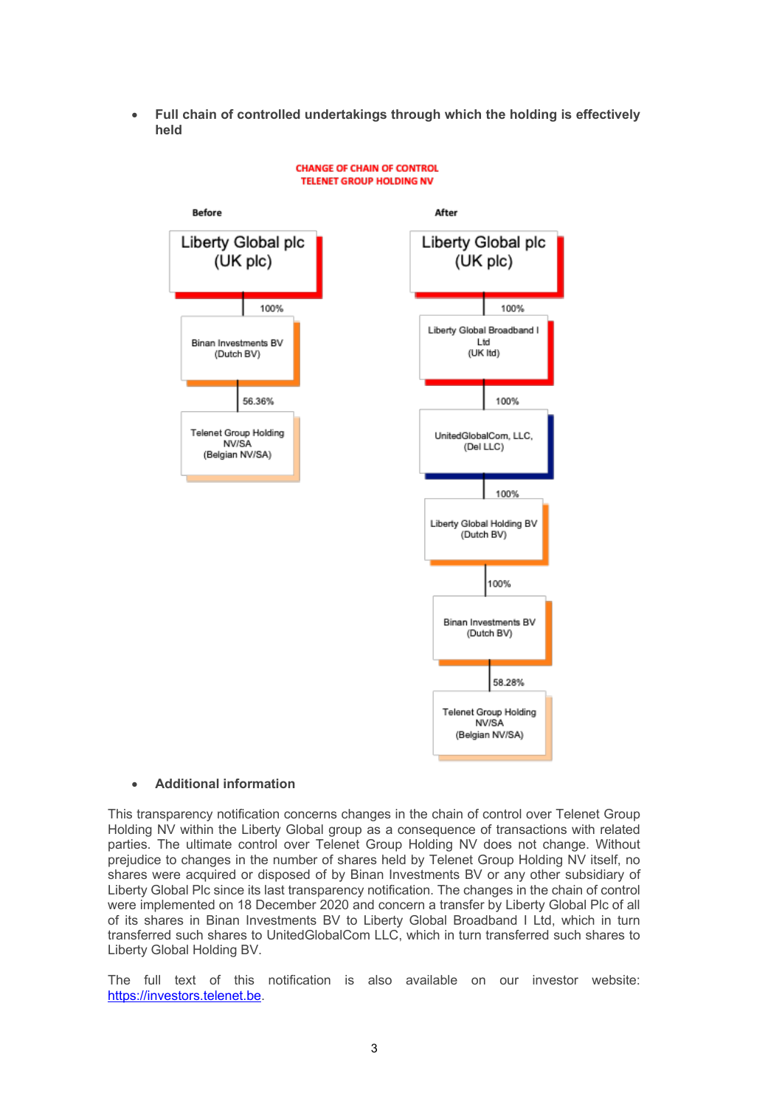• **Full chain of controlled undertakings through which the holding is effectively held**



#### **CHANGE OF CHAIN OF CONTROL TELENET GROUP HOLDING NV**

#### • **Additional information**

This transparency notification concerns changes in the chain of control over Telenet Group Holding NV within the Liberty Global group as a consequence of transactions with related parties. The ultimate control over Telenet Group Holding NV does not change. Without prejudice to changes in the number of shares held by Telenet Group Holding NV itself, no shares were acquired or disposed of by Binan Investments BV or any other subsidiary of Liberty Global Plc since its last transparency notification. The changes in the chain of control were implemented on 18 December 2020 and concern a transfer by Liberty Global Plc of all of its shares in Binan Investments BV to Liberty Global Broadband I Ltd, which in turn transferred such shares to UnitedGlobalCom LLC, which in turn transferred such shares to Liberty Global Holding BV.

The full text of this notification is also available on our investor website: https://investors.telenet.be.